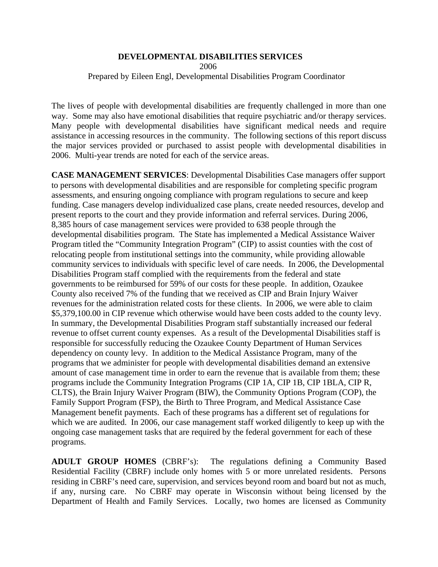## **DEVELOPMENTAL DISABILITIES SERVICES**

2006

Prepared by Eileen Engl, Developmental Disabilities Program Coordinator

The lives of people with developmental disabilities are frequently challenged in more than one way. Some may also have emotional disabilities that require psychiatric and/or therapy services. Many people with developmental disabilities have significant medical needs and require assistance in accessing resources in the community. The following sections of this report discuss the major services provided or purchased to assist people with developmental disabilities in 2006. Multi-year trends are noted for each of the service areas.

**CASE MANAGEMENT SERVICES**: Developmental Disabilities Case managers offer support to persons with developmental disabilities and are responsible for completing specific program assessments, and ensuring ongoing compliance with program regulations to secure and keep funding. Case managers develop individualized case plans, create needed resources, develop and present reports to the court and they provide information and referral services. During 2006, 8,385 hours of case management services were provided to 638 people through the developmental disabilities program. The State has implemented a Medical Assistance Waiver Program titled the "Community Integration Program" (CIP) to assist counties with the cost of relocating people from institutional settings into the community, while providing allowable community services to individuals with specific level of care needs. In 2006, the Developmental Disabilities Program staff complied with the requirements from the federal and state governments to be reimbursed for 59% of our costs for these people. In addition, Ozaukee County also received 7% of the funding that we received as CIP and Brain Injury Waiver revenues for the administration related costs for these clients. In 2006, we were able to claim \$5,379,100.00 in CIP revenue which otherwise would have been costs added to the county levy. In summary, the Developmental Disabilities Program staff substantially increased our federal revenue to offset current county expenses. As a result of the Developmental Disabilities staff is responsible for successfully reducing the Ozaukee County Department of Human Services dependency on county levy. In addition to the Medical Assistance Program, many of the programs that we administer for people with developmental disabilities demand an extensive amount of case management time in order to earn the revenue that is available from them; these programs include the Community Integration Programs (CIP 1A, CIP 1B, CIP 1BLA, CIP R, CLTS), the Brain Injury Waiver Program (BIW), the Community Options Program (COP), the Family Support Program (FSP), the Birth to Three Program, and Medical Assistance Case Management benefit payments. Each of these programs has a different set of regulations for which we are audited. In 2006, our case management staff worked diligently to keep up with the ongoing case management tasks that are required by the federal government for each of these programs.

**ADULT GROUP HOMES** (CBRF's): The regulations defining a Community Based Residential Facility (CBRF) include only homes with 5 or more unrelated residents. Persons residing in CBRF's need care, supervision, and services beyond room and board but not as much, if any, nursing care. No CBRF may operate in Wisconsin without being licensed by the Department of Health and Family Services. Locally, two homes are licensed as Community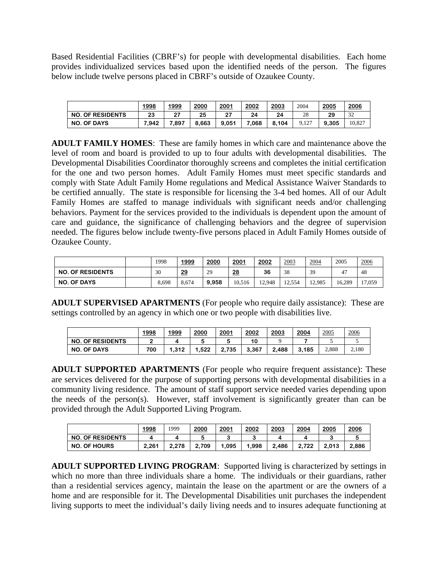Based Residential Facilities (CBRF's) for people with developmental disabilities. Each home provides individualized services based upon the identified needs of the person. The figures below include twelve persons placed in CBRF's outside of Ozaukee County.

|                         | <u>1998</u> | 1999           | 2000  | 2001  | 2002  | <u> 2003</u> | 2004  | 2005  | 2006   |
|-------------------------|-------------|----------------|-------|-------|-------|--------------|-------|-------|--------|
| <b>NO. OF RESIDENTS</b> | 23          | ^7<br><u>.</u> | 25    | 27    | 24    | 24           | 28    | 29    | 32     |
| <b>NO. OF DAYS</b>      | 7.942       | 7.897          | 8.663 | 9.051 | 7.068 | 8.104        | 9.127 | 9.305 | 10.827 |

**ADULT FAMILY HOMES**: These are family homes in which care and maintenance above the level of room and board is provided to up to four adults with developmental disabilities. The Developmental Disabilities Coordinator thoroughly screens and completes the initial certification for the one and two person homes. Adult Family Homes must meet specific standards and comply with State Adult Family Home regulations and Medical Assistance Waiver Standards to be certified annually. The state is responsible for licensing the 3-4 bed homes. All of our Adult Family Homes are staffed to manage individuals with significant needs and/or challenging behaviors. Payment for the services provided to the individuals is dependent upon the amount of care and guidance, the significance of challenging behaviors and the degree of supervision needed. The figures below include twenty-five persons placed in Adult Family Homes outside of Ozaukee County.

|                         | 1998  | 1999      | 2000  | 2001      | 2002   | 2003   | 2004   | 2005                | 2006   |
|-------------------------|-------|-----------|-------|-----------|--------|--------|--------|---------------------|--------|
| <b>NO. OF RESIDENTS</b> | 30    | <u>29</u> | 29    | <u>28</u> | 36     | 38     | 39     | $\overline{A}$<br>4 | 48     |
| <b>NO. OF DAYS</b>      | 8,698 | 8.674     | 9.958 | 10,516    | 12.948 | 12.554 | 12.985 | 16.289              | 17,059 |

**ADULT SUPERVISED APARTMENTS** (For people who require daily assistance): These are settings controlled by an agency in which one or two people with disabilities live.

|                         | 1998 | 1999  | 2000  | <u> 2001</u>          | 2002  | 2003  | 2004  | 2005  | 2006  |
|-------------------------|------|-------|-------|-----------------------|-------|-------|-------|-------|-------|
| <b>NO. OF RESIDENTS</b> |      |       |       |                       | 10    |       |       |       |       |
| <b>NO. OF DAYS</b>      | 700  | 1,312 | 1.522 | 2.735<br><sup>o</sup> | 3.367 | 2.488 | 3.185 | 2,888 | 2.180 |

**ADULT SUPPORTED APARTMENTS** (For people who require frequent assistance): These are services delivered for the purpose of supporting persons with developmental disabilities in a community living residence. The amount of staff support service needed varies depending upon the needs of the person(s). However, staff involvement is significantly greater than can be provided through the Adult Supported Living Program.

|                         | 1998  | 1999  | 2000  | 2001 | 2002  | 2003  | 2004  | 2005  | 2006  |
|-------------------------|-------|-------|-------|------|-------|-------|-------|-------|-------|
| <b>NO. OF RESIDENTS</b> |       |       |       |      |       |       |       |       |       |
| <b>NO. OF HOURS</b>     | 2.261 | 2.278 | 2.709 | .095 | 1.998 | 2.486 | 2.722 | 2.013 | 2.886 |

**ADULT SUPPORTED LIVING PROGRAM**: Supported living is characterized by settings in which no more than three individuals share a home. The individuals or their guardians, rather than a residential services agency, maintain the lease on the apartment or are the owners of a home and are responsible for it. The Developmental Disabilities unit purchases the independent living supports to meet the individual's daily living needs and to insures adequate functioning at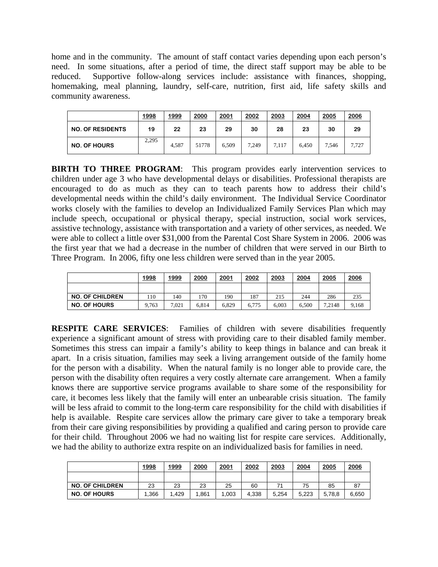home and in the community. The amount of staff contact varies depending upon each person's need. In some situations, after a period of time, the direct staff support may be able to be reduced. Supportive follow-along services include: assistance with finances, shopping, homemaking, meal planning, laundry, self-care, nutrition, first aid, life safety skills and community awareness.

|                         | 1998  | 1999  | 2000  | 2001  | 2002  | 2003  | 2004  | 2005  | 2006  |
|-------------------------|-------|-------|-------|-------|-------|-------|-------|-------|-------|
| <b>NO. OF RESIDENTS</b> | 19    | 22    | 23    | 29    | 30    | 28    | 23    | 30    | 29    |
| <b>NO. OF HOURS</b>     | 2.295 | 4.587 | 51778 | 6,509 | 7.249 | 7.117 | 6.450 | 7,546 | 7,727 |

**BIRTH TO THREE PROGRAM:** This program provides early intervention services to children under age 3 who have developmental delays or disabilities. Professional therapists are encouraged to do as much as they can to teach parents how to address their child's developmental needs within the child's daily environment. The Individual Service Coordinator works closely with the families to develop an Individualized Family Services Plan which may include speech, occupational or physical therapy, special instruction, social work services, assistive technology, assistance with transportation and a variety of other services, as needed. We were able to collect a little over \$31,000 from the Parental Cost Share System in 2006. 2006 was the first year that we had a decrease in the number of children that were served in our Birth to Three Program. In 2006, fifty one less children were served than in the year 2005.

|                        | 1998  | 1999  | 2000  | 2001  | 2002  | 2003  | 2004  | 2005   | 2006  |
|------------------------|-------|-------|-------|-------|-------|-------|-------|--------|-------|
|                        |       |       |       |       |       |       |       |        |       |
| <b>NO. OF CHILDREN</b> | 110   | 140   | 170   | 190   | 187   | 215   | 244   | 286    | 235   |
| <b>NO. OF HOURS</b>    | 9.763 | 7.021 | 6.814 | 6.829 | 6.775 | 6.003 | 6.500 | 7.2148 | 9,168 |

**RESPITE CARE SERVICES**: Families of children with severe disabilities frequently experience a significant amount of stress with providing care to their disabled family member. Sometimes this stress can impair a family's ability to keep things in balance and can break it apart. In a crisis situation, families may seek a living arrangement outside of the family home for the person with a disability. When the natural family is no longer able to provide care, the person with the disability often requires a very costly alternate care arrangement. When a family knows there are supportive service programs available to share some of the responsibility for care, it becomes less likely that the family will enter an unbearable crisis situation. The family will be less afraid to commit to the long-term care responsibility for the child with disabilities if help is available. Respite care services allow the primary care giver to take a temporary break from their care giving responsibilities by providing a qualified and caring person to provide care for their child. Throughout 2006 we had no waiting list for respite care services. Additionally, we had the ability to authorize extra respite on an individualized basis for families in need.

|                        | 1998 | 1999 | 2000 | 2001 | 2002  | 2003  | 2004  | 2005   | 2006  |
|------------------------|------|------|------|------|-------|-------|-------|--------|-------|
|                        |      |      |      |      |       |       |       |        |       |
| <b>NO. OF CHILDREN</b> | 23   | 23   | 23   | 25   | 60    | 7,    | 75    | 85     | 87    |
| <b>NO. OF HOURS</b>    | .366 | .429 | .861 | ,003 | 4.338 | 5.254 | 5.223 | 5,78,8 | 6,650 |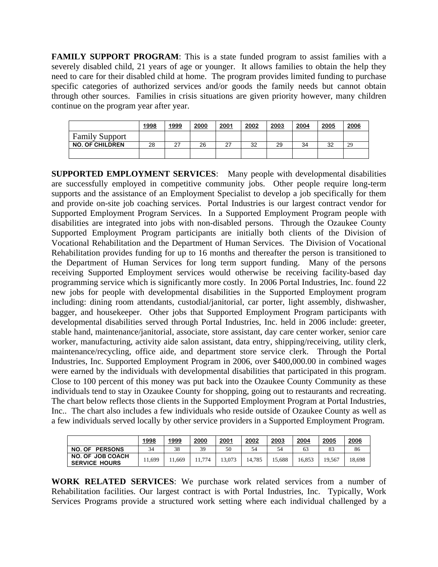**FAMILY SUPPORT PROGRAM:** This is a state funded program to assist families with a severely disabled child, 21 years of age or younger. It allows families to obtain the help they need to care for their disabled child at home. The program provides limited funding to purchase specific categories of authorized services and/or goods the family needs but cannot obtain through other sources. Families in crisis situations are given priority however, many children continue on the program year after year.

|                        | 1998 | 1999            | 2000 | 2001 | 2002 | 2003 | 2004 | 2005 | 2006 |
|------------------------|------|-----------------|------|------|------|------|------|------|------|
| <b>Family Support</b>  |      |                 |      |      |      |      |      |      |      |
| <b>NO. OF CHILDREN</b> | 28   | ົ<br>$\epsilon$ | 26   | 27   | 32   | 29   | 34   | 32   | 29   |
|                        |      |                 |      |      |      |      |      |      |      |

**SUPPORTED EMPLOYMENT SERVICES**: Many people with developmental disabilities are successfully employed in competitive community jobs. Other people require long-term supports and the assistance of an Employment Specialist to develop a job specifically for them and provide on-site job coaching services. Portal Industries is our largest contract vendor for Supported Employment Program Services. In a Supported Employment Program people with disabilities are integrated into jobs with non-disabled persons. Through the Ozaukee County Supported Employment Program participants are initially both clients of the Division of Vocational Rehabilitation and the Department of Human Services. The Division of Vocational Rehabilitation provides funding for up to 16 months and thereafter the person is transitioned to the Department of Human Services for long term support funding. Many of the persons receiving Supported Employment services would otherwise be receiving facility-based day programming service which is significantly more costly. In 2006 Portal Industries, Inc. found 22 new jobs for people with developmental disabilities in the Supported Employment program including: dining room attendants, custodial/janitorial, car porter, light assembly, dishwasher, bagger, and housekeeper. Other jobs that Supported Employment Program participants with developmental disabilities served through Portal Industries, Inc. held in 2006 include: greeter, stable hand, maintenance/janitorial, associate, store assistant, day care center worker, senior care worker, manufacturing, activity aide salon assistant, data entry, shipping/receiving, utility clerk, maintenance/recycling, office aide, and department store service clerk. Through the Portal Industries, Inc. Supported Employment Program in 2006, over \$400,000.00 in combined wages were earned by the individuals with developmental disabilities that participated in this program. Close to 100 percent of this money was put back into the Ozaukee County Community as these individuals tend to stay in Ozaukee County for shopping, going out to restaurants and recreating. The chart below reflects those clients in the Supported Employment Program at Portal Industries, Inc.. The chart also includes a few individuals who reside outside of Ozaukee County as well as a few individuals served locally by other service providers in a Supported Employment Program.

|                                                 | 1998    | 1999  | 2000 | 2001   | 2002   | 2003   | 2004   | 2005   | 2006   |
|-------------------------------------------------|---------|-------|------|--------|--------|--------|--------|--------|--------|
| NO. OF<br><b>PERSONS</b>                        | 34      | 38    | 39   | 50     | 54     | 54     | 63     | 83     | 86     |
| <b>NO. OF JOB COACH</b><br><b>SERVICE HOURS</b> | . 1,699 | 1.669 | 774  | 13.073 | 14.785 | 15.688 | 16.853 | 19.567 | 18,698 |

**WORK RELATED SERVICES**: We purchase work related services from a number of Rehabilitation facilities. Our largest contract is with Portal Industries, Inc. Typically, Work Services Programs provide a structured work setting where each individual challenged by a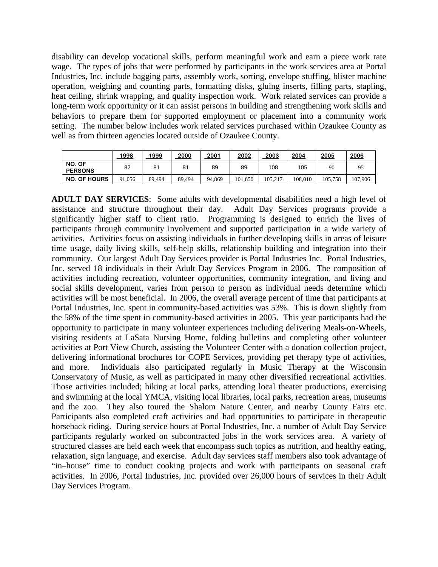disability can develop vocational skills, perform meaningful work and earn a piece work rate wage. The types of jobs that were performed by participants in the work services area at Portal Industries, Inc. include bagging parts, assembly work, sorting, envelope stuffing, blister machine operation, weighing and counting parts, formatting disks, gluing inserts, filling parts, stapling, heat ceiling, shrink wrapping, and quality inspection work. Work related services can provide a long-term work opportunity or it can assist persons in building and strengthening work skills and behaviors to prepare them for supported employment or placement into a community work setting. The number below includes work related services purchased within Ozaukee County as well as from thirteen agencies located outside of Ozaukee County.

|                          | 1998       | <u> 1999</u> | 2000   | 2001   | 2002    | 2003    | 2004    | 2005    | 2006    |
|--------------------------|------------|--------------|--------|--------|---------|---------|---------|---------|---------|
| NO. OF<br><b>PERSONS</b> | 82         | 81           | 81     | 89     | 89      | 108     | 105     | 90      | 95      |
| <b>NO. OF HOURS</b>      | 91<br>.056 | 89.494       | 89,494 | 94.869 | 101.650 | 105.217 | 108.010 | 105.758 | 107,906 |

**ADULT DAY SERVICES**: Some adults with developmental disabilities need a high level of assistance and structure throughout their day. Adult Day Services programs provide a significantly higher staff to client ratio. Programming is designed to enrich the lives of participants through community involvement and supported participation in a wide variety of activities. Activities focus on assisting individuals in further developing skills in areas of leisure time usage, daily living skills, self-help skills, relationship building and integration into their community. Our largest Adult Day Services provider is Portal Industries Inc. Portal Industries, Inc. served 18 individuals in their Adult Day Services Program in 2006. The composition of activities including recreation, volunteer opportunities, community integration, and living and social skills development, varies from person to person as individual needs determine which activities will be most beneficial. In 2006, the overall average percent of time that participants at Portal Industries, Inc. spent in community-based activities was 53%. This is down slightly from the 58% of the time spent in community-based activities in 2005. This year participants had the opportunity to participate in many volunteer experiences including delivering Meals-on-Wheels, visiting residents at LaSata Nursing Home, folding bulletins and completing other volunteer activities at Port View Church, assisting the Volunteer Center with a donation collection project, delivering informational brochures for COPE Services, providing pet therapy type of activities, and more. Individuals also participated regularly in Music Therapy at the Wisconsin Conservatory of Music, as well as participated in many other diversified recreational activities. Those activities included; hiking at local parks, attending local theater productions, exercising and swimming at the local YMCA, visiting local libraries, local parks, recreation areas, museums and the zoo. They also toured the Shalom Nature Center, and nearby County Fairs etc. Participants also completed craft activities and had opportunities to participate in therapeutic horseback riding. During service hours at Portal Industries, Inc. a number of Adult Day Service participants regularly worked on subcontracted jobs in the work services area. A variety of structured classes are held each week that encompass such topics as nutrition, and healthy eating, relaxation, sign language, and exercise. Adult day services staff members also took advantage of "in–house" time to conduct cooking projects and work with participants on seasonal craft activities. In 2006, Portal Industries, Inc. provided over 26,000 hours of services in their Adult Day Services Program.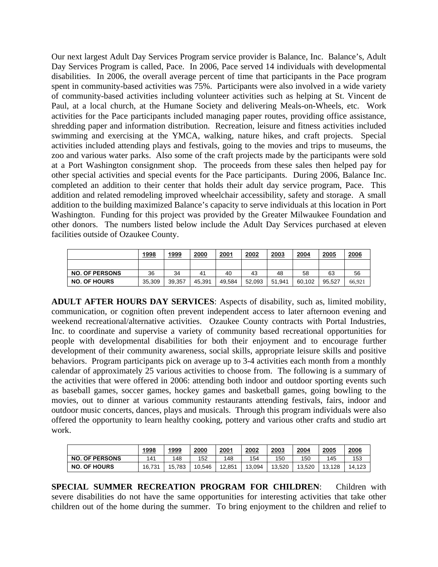Our next largest Adult Day Services Program service provider is Balance, Inc. Balance's, Adult Day Services Program is called, Pace. In 2006, Pace served 14 individuals with developmental disabilities. In 2006, the overall average percent of time that participants in the Pace program spent in community-based activities was 75%. Participants were also involved in a wide variety of community-based activities including volunteer activities such as helping at St. Vincent de Paul, at a local church, at the Humane Society and delivering Meals-on-Wheels, etc. Work activities for the Pace participants included managing paper routes, providing office assistance, shredding paper and information distribution. Recreation, leisure and fitness activities included swimming and exercising at the YMCA, walking, nature hikes, and craft projects. Special activities included attending plays and festivals, going to the movies and trips to museums, the zoo and various water parks. Also some of the craft projects made by the participants were sold at a Port Washington consignment shop. The proceeds from these sales then helped pay for other special activities and special events for the Pace participants. During 2006, Balance Inc. completed an addition to their center that holds their adult day service program, Pace. This addition and related remodeling improved wheelchair accessibility, safety and storage. A small addition to the building maximized Balance's capacity to serve individuals at this location in Port Washington. Funding for this project was provided by the Greater Milwaukee Foundation and other donors. The numbers listed below include the Adult Day Services purchased at eleven facilities outside of Ozaukee County.

|                       | 1998   | 1999   | 2000   | 2001   | 2002   | 2003   | 2004   | 2005   | 2006   |
|-----------------------|--------|--------|--------|--------|--------|--------|--------|--------|--------|
|                       |        |        |        |        |        |        |        |        |        |
| <b>NO. OF PERSONS</b> | 36     | 34     | 41     | 40     | 43     | 48     | 58     | 63     | 56     |
| <b>NO. OF HOURS</b>   | 35,309 | 39.357 | 45.391 | 49.584 | 52,093 | 51.941 | 60.102 | 95.527 | 66.921 |

**ADULT AFTER HOURS DAY SERVICES**: Aspects of disability, such as, limited mobility, communication, or cognition often prevent independent access to later afternoon evening and weekend recreational/alternative activities. Ozaukee County contracts with Portal Industries, Inc. to coordinate and supervise a variety of community based recreational opportunities for people with developmental disabilities for both their enjoyment and to encourage further development of their community awareness, social skills, appropriate leisure skills and positive behaviors. Program participants pick on average up to 3-4 activities each month from a monthly calendar of approximately 25 various activities to choose from. The following is a summary of the activities that were offered in 2006: attending both indoor and outdoor sporting events such as baseball games, soccer games, hockey games and basketball games, going bowling to the movies, out to dinner at various community restaurants attending festivals, fairs, indoor and outdoor music concerts, dances, plays and musicals. Through this program individuals were also offered the opportunity to learn healthy cooking, pottery and various other crafts and studio art work.

|                       | 1998   | 1999   | 2000   | 2001   | 2002   | 2003   | 2004   | 2005   | 2006   |
|-----------------------|--------|--------|--------|--------|--------|--------|--------|--------|--------|
| <b>NO. OF PERSONS</b> | 141    | 148    | 152    | 148    | 154    | 150    | 150    | 145    | 153    |
| <b>NO. OF HOURS</b>   | 16.731 | 15.783 | 10.546 | 12,851 | 13,094 | 13.520 | 13.520 | 13.128 | 14.123 |

**SPECIAL SUMMER RECREATION PROGRAM FOR CHILDREN**: Children with severe disabilities do not have the same opportunities for interesting activities that take other children out of the home during the summer. To bring enjoyment to the children and relief to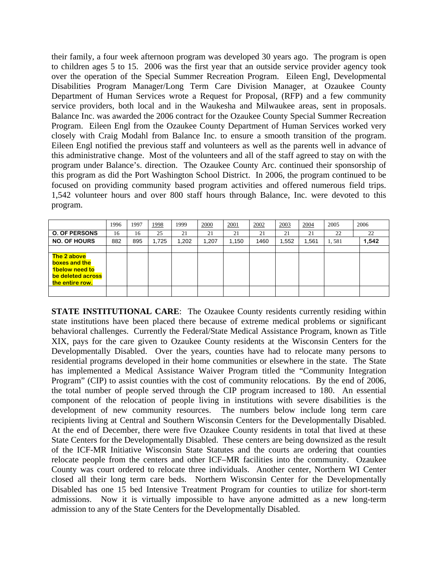their family, a four week afternoon program was developed 30 years ago. The program is open to children ages 5 to 15. 2006 was the first year that an outside service provider agency took over the operation of the Special Summer Recreation Program. Eileen Engl, Developmental Disabilities Program Manager/Long Term Care Division Manager, at Ozaukee County Department of Human Services wrote a Request for Proposal, (RFP) and a few community service providers, both local and in the Waukesha and Milwaukee areas, sent in proposals. Balance Inc. was awarded the 2006 contract for the Ozaukee County Special Summer Recreation Program. Eileen Engl from the Ozaukee County Department of Human Services worked very closely with Craig Modahl from Balance Inc. to ensure a smooth transition of the program. Eileen Engl notified the previous staff and volunteers as well as the parents well in advance of this administrative change. Most of the volunteers and all of the staff agreed to stay on with the program under Balance's. direction. The Ozaukee County Arc. continued their sponsorship of this program as did the Port Washington School District. In 2006, the program continued to be focused on providing community based program activities and offered numerous field trips. 1,542 volunteer hours and over 800 staff hours through Balance, Inc. were devoted to this program.

|                                                                                        | 1996 | 1997 | 1998  | 1999  | 2000 | 2001  | 2002 | 2003  | 2004 | 2005  | 2006  |
|----------------------------------------------------------------------------------------|------|------|-------|-------|------|-------|------|-------|------|-------|-------|
| <b>O. OF PERSONS</b>                                                                   | 16   | 16   | 25    | 21    | 21   | 21    | 21   | 21    | 21   | 22    | 22    |
| <b>NO. OF HOURS</b>                                                                    | 882  | 895  | 1,725 | 1,202 | .207 | 1,150 | 1460 | 1,552 | 561, | 1,581 | 1,542 |
|                                                                                        |      |      |       |       |      |       |      |       |      |       |       |
| The 2 above<br>boxes and the<br>1below need to<br>be deleted across<br>the entire row. |      |      |       |       |      |       |      |       |      |       |       |
|                                                                                        |      |      |       |       |      |       |      |       |      |       |       |

**STATE INSTITUTIONAL CARE:** The Ozaukee County residents currently residing within state institutions have been placed there because of extreme medical problems or significant behavioral challenges. Currently the Federal/State Medical Assistance Program, known as Title XIX, pays for the care given to Ozaukee County residents at the Wisconsin Centers for the Developmentally Disabled. Over the years, counties have had to relocate many persons to residential programs developed in their home communities or elsewhere in the state. The State has implemented a Medical Assistance Waiver Program titled the "Community Integration Program" (CIP) to assist counties with the cost of community relocations. By the end of 2006, the total number of people served through the CIP program increased to 180. An essential component of the relocation of people living in institutions with severe disabilities is the development of new community resources. The numbers below include long term care recipients living at Central and Southern Wisconsin Centers for the Developmentally Disabled. At the end of December, there were five Ozaukee County residents in total that lived at these State Centers for the Developmentally Disabled. These centers are being downsized as the result of the ICF-MR Initiative Wisconsin State Statutes and the courts are ordering that counties relocate people from the centers and other ICF–MR facilities into the community. Ozaukee County was court ordered to relocate three individuals. Another center, Northern WI Center closed all their long term care beds. Northern Wisconsin Center for the Developmentally Disabled has one 15 bed Intensive Treatment Program for counties to utilize for short-term admissions. Now it is virtually impossible to have anyone admitted as a new long-term admission to any of the State Centers for the Developmentally Disabled.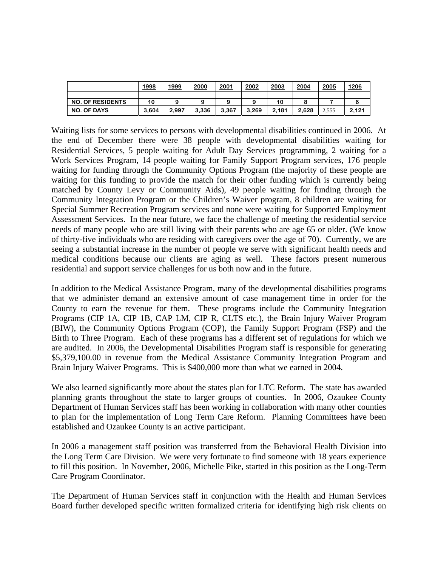|                         | 1998  | 1999  | 2000  | 2001  | 2002  | 2003  | 2004  | 2005  | 1206  |
|-------------------------|-------|-------|-------|-------|-------|-------|-------|-------|-------|
|                         |       |       |       |       |       |       |       |       |       |
| <b>NO. OF RESIDENTS</b> | 10    |       |       | 9     |       | 10    |       |       |       |
| <b>NO. OF DAYS</b>      | 3.604 | 2.997 | 3,336 | 3.367 | 3.269 | 2.181 | 2.628 | 2.555 | 2,121 |

Waiting lists for some services to persons with developmental disabilities continued in 2006. At the end of December there were 38 people with developmental disabilities waiting for Residential Services, 5 people waiting for Adult Day Services programming, 2 waiting for a Work Services Program, 14 people waiting for Family Support Program services, 176 people waiting for funding through the Community Options Program (the majority of these people are waiting for this funding to provide the match for their other funding which is currently being matched by County Levy or Community Aids), 49 people waiting for funding through the Community Integration Program or the Children's Waiver program, 8 children are waiting for Special Summer Recreation Program services and none were waiting for Supported Employment Assessment Services. In the near future, we face the challenge of meeting the residential service needs of many people who are still living with their parents who are age 65 or older. (We know of thirty-five individuals who are residing with caregivers over the age of 70). Currently, we are seeing a substantial increase in the number of people we serve with significant health needs and medical conditions because our clients are aging as well. These factors present numerous residential and support service challenges for us both now and in the future.

In addition to the Medical Assistance Program, many of the developmental disabilities programs that we administer demand an extensive amount of case management time in order for the County to earn the revenue for them. These programs include the Community Integration Programs (CIP 1A, CIP 1B, CAP LM, CIP R, CLTS etc.), the Brain Injury Waiver Program (BIW), the Community Options Program (COP), the Family Support Program (FSP) and the Birth to Three Program. Each of these programs has a different set of regulations for which we are audited. In 2006, the Developmental Disabilities Program staff is responsible for generating \$5,379,100.00 in revenue from the Medical Assistance Community Integration Program and Brain Injury Waiver Programs. This is \$400,000 more than what we earned in 2004.

We also learned significantly more about the states plan for LTC Reform. The state has awarded planning grants throughout the state to larger groups of counties. In 2006, Ozaukee County Department of Human Services staff has been working in collaboration with many other counties to plan for the implementation of Long Term Care Reform. Planning Committees have been established and Ozaukee County is an active participant.

In 2006 a management staff position was transferred from the Behavioral Health Division into the Long Term Care Division. We were very fortunate to find someone with 18 years experience to fill this position. In November, 2006, Michelle Pike, started in this position as the Long-Term Care Program Coordinator.

The Department of Human Services staff in conjunction with the Health and Human Services Board further developed specific written formalized criteria for identifying high risk clients on